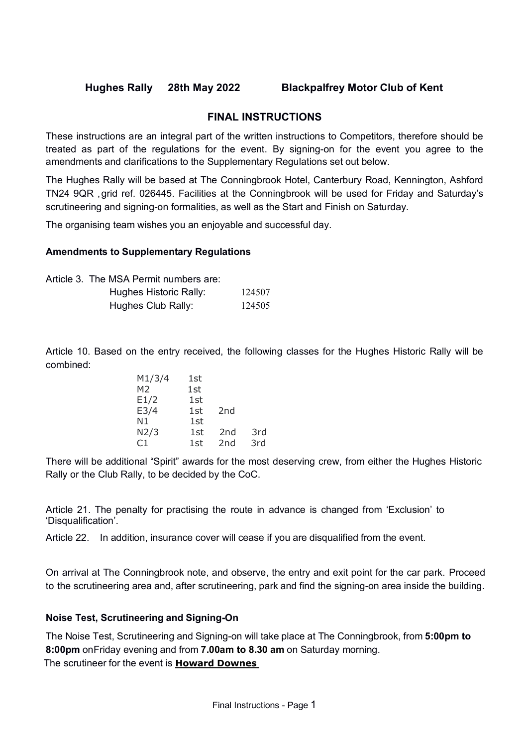# **FINAL INSTRUCTIONS**

These instructions are an integral part of the written instructions to Competitors, therefore should be treated as part of the regulations for the event. By signing-on for the event you agree to the amendments and clarifications to the Supplementary Regulations set out below.

The Hughes Rally will be based at The Conningbrook Hotel, Canterbury Road, Kennington, Ashford TN24 9QR ,grid ref. 026445. Facilities at the Conningbrook will be used for Friday and Saturday's scrutineering and signing-on formalities, as well as the Start and Finish on Saturday.

The organising team wishes you an enjoyable and successful day.

### **Amendments to Supplementary Regulations**

| Article 3. The MSA Permit numbers are: |        |
|----------------------------------------|--------|
| Hughes Historic Rally:                 | 124507 |
| Hughes Club Rally:                     | 124505 |

Article 10. Based on the entry received, the following classes for the Hughes Historic Rally will be combined:

| M1/3/4         | 1st |                 |     |
|----------------|-----|-----------------|-----|
| M <sub>2</sub> | 1st |                 |     |
| E1/2           | 1st |                 |     |
| E3/4           | 1st | 2 <sub>nd</sub> |     |
| N1             | 1st |                 |     |
| N2/3           | 1st | 2 <sub>nd</sub> | 3rd |
| ال'            | 1st | 2 <sub>nd</sub> | 3rd |

There will be additional "Spirit" awards for the most deserving crew, from either the Hughes Historic Rally or the Club Rally, to be decided by the CoC.

Article 21. The penalty for practising the route in advance is changed from 'Exclusion' to 'Disqualification'.

Article 22. In addition, insurance cover will cease if you are disqualified from the event.

On arrival at The Conningbrook note, and observe, the entry and exit point for the car park. Proceed to the scrutineering area and, after scrutineering, park and find the signing-on area inside the building.

# **Noise Test, Scrutineering and Signing-On**

The Noise Test, Scrutineering and Signing-on will take place at The Conningbrook, from **5:00pm to 8:00pm** onFriday evening and from **7.00am to 8.30 am** on Saturday morning. The scrutineer for the event is **Howard Downes**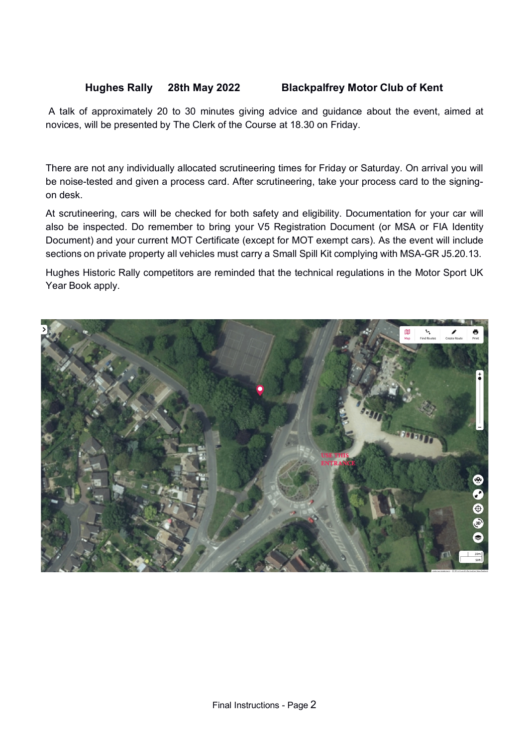A talk of approximately 20 to 30 minutes giving advice and guidance about the event, aimed at novices, will be presented by The Clerk of the Course at 18.30 on Friday.

There are not any individually allocated scrutineering times for Friday or Saturday. On arrival you will be noise-tested and given a process card. After scrutineering, take your process card to the signingon desk.

At scrutineering, cars will be checked for both safety and eligibility. Documentation for your car will also be inspected. Do remember to bring your V5 Registration Document (or MSA or FIA Identity Document) and your current MOT Certificate (except for MOT exempt cars). As the event will include sections on private property all vehicles must carry a Small Spill Kit complying with MSA-GR J5.20.13.

Hughes Historic Rally competitors are reminded that the technical regulations in the Motor Sport UK Year Book apply.

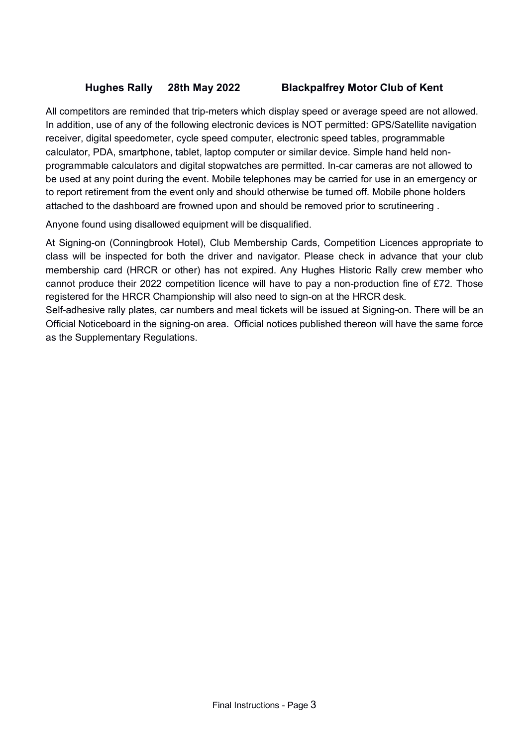All competitors are reminded that trip-meters which display speed or average speed are not allowed. In addition, use of any of the following electronic devices is NOT permitted: GPS/Satellite navigation receiver, digital speedometer, cycle speed computer, electronic speed tables, programmable calculator, PDA, smartphone, tablet, laptop computer or similar device. Simple hand held nonprogrammable calculators and digital stopwatches are permitted. In-car cameras are not allowed to be used at any point during the event. Mobile telephones may be carried for use in an emergency or to report retirement from the event only and should otherwise be turned off. Mobile phone holders attached to the dashboard are frowned upon and should be removed prior to scrutineering .

Anyone found using disallowed equipment will be disqualified.

At Signing-on (Conningbrook Hotel), Club Membership Cards, Competition Licences appropriate to class will be inspected for both the driver and navigator. Please check in advance that your club membership card (HRCR or other) has not expired. Any Hughes Historic Rally crew member who cannot produce their 2022 competition licence will have to pay a non-production fine of £72. Those registered for the HRCR Championship will also need to sign-on at the HRCR desk.

Self-adhesive rally plates, car numbers and meal tickets will be issued at Signing-on. There will be an Official Noticeboard in the signing-on area. Official notices published thereon will have the same force as the Supplementary Regulations.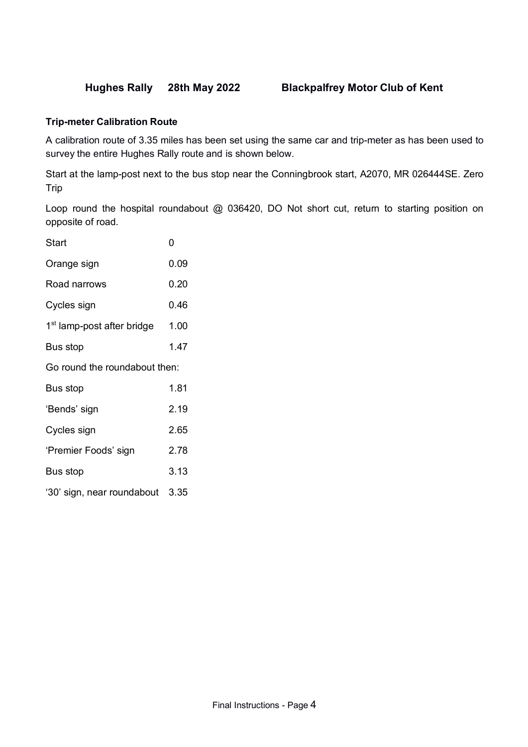### **Trip-meter Calibration Route**

A calibration route of 3.35 miles has been set using the same car and trip-meter as has been used to survey the entire Hughes Rally route and is shown below.

Start at the lamp-post next to the bus stop near the Conningbrook start, A2070, MR 026444SE. Zero Trip

Loop round the hospital roundabout @ 036420, DO Not short cut, return to starting position on opposite of road.

| Start                                  | 0    |  |  |  |
|----------------------------------------|------|--|--|--|
| Orange sign                            | 0.09 |  |  |  |
| Road narrows                           | 0.20 |  |  |  |
| Cycles sign                            | 0.46 |  |  |  |
| 1 <sup>st</sup> lamp-post after bridge | 1.00 |  |  |  |
| Bus stop                               | 1.47 |  |  |  |
| Go round the roundabout then:          |      |  |  |  |
| Bus stop                               | 1.81 |  |  |  |
| 'Bends' sign                           | 2.19 |  |  |  |
| Cycles sign                            | 2.65 |  |  |  |
| 'Premier Foods' sign                   | 2.78 |  |  |  |
| Bus stop                               | 3.13 |  |  |  |
| '30' sign, near roundabout             | 3.35 |  |  |  |
|                                        |      |  |  |  |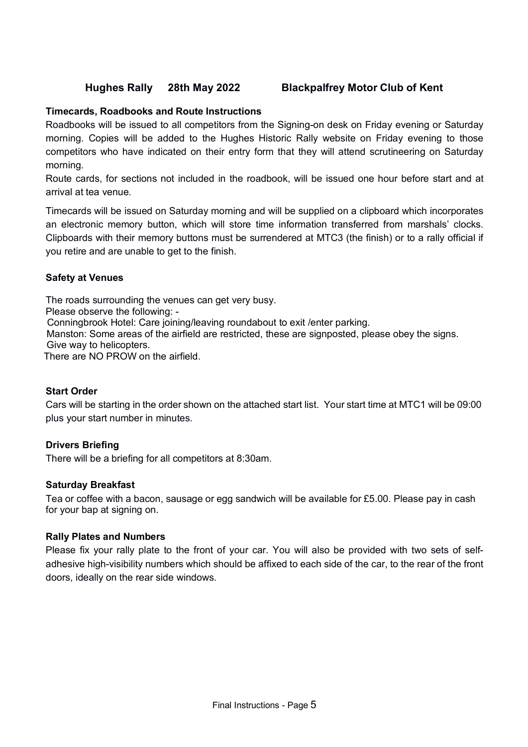## **Timecards, Roadbooks and Route Instructions**

Roadbooks will be issued to all competitors from the Signing-on desk on Friday evening or Saturday morning. Copies will be added to the Hughes Historic Rally website on Friday evening to those competitors who have indicated on their entry form that they will attend scrutineering on Saturday morning.

Route cards, for sections not included in the roadbook, will be issued one hour before start and at arrival at tea venue.

Timecards will be issued on Saturday morning and will be supplied on a clipboard which incorporates an electronic memory button, which will store time information transferred from marshals' clocks. Clipboards with their memory buttons must be surrendered at MTC3 (the finish) or to a rally official if you retire and are unable to get to the finish.

### **Safety at Venues**

The roads surrounding the venues can get very busy. Please observe the following: - Conningbrook Hotel: Care joining/leaving roundabout to exit /enter parking. Manston: Some areas of the airfield are restricted, these are signposted, please obey the signs. Give way to helicopters. There are NO PROW on the airfield.

### **Start Order**

Cars will be starting in the order shown on the attached start list. Your start time at MTC1 will be 09:00 plus your start number in minutes.

### **Drivers Briefing**

There will be a briefing for all competitors at 8:30am.

### **Saturday Breakfast**

Tea or coffee with a bacon, sausage or egg sandwich will be available for £5.00. Please pay in cash for your bap at signing on.

### **Rally Plates and Numbers**

Please fix your rally plate to the front of your car. You will also be provided with two sets of selfadhesive high-visibility numbers which should be affixed to each side of the car, to the rear of the front doors, ideally on the rear side windows.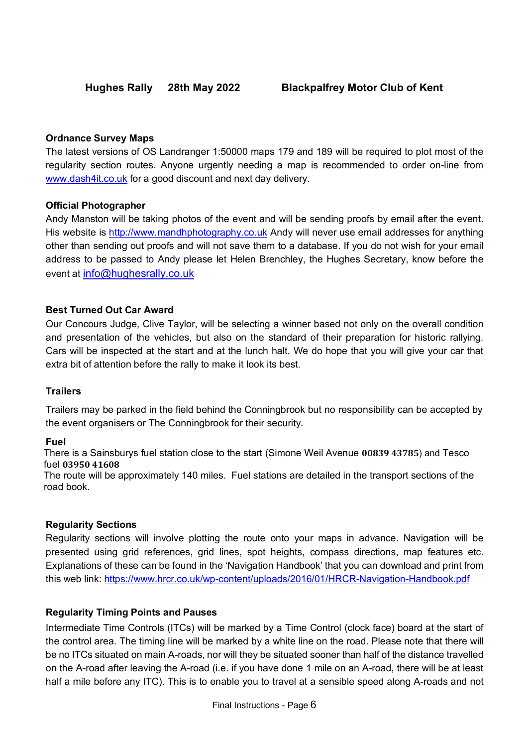# **Ordnance Survey Maps**

The latest versions of OS Landranger 1:50000 maps 179 and 189 will be required to plot most of the regularity section routes. Anyone urgently needing a map is recommended to order on-line from www.dash4it.co.uk for a good discount and next day delivery.

# **Official Photographer**

Andy Manston will be taking photos of the event and will be sending proofs by email after the event. His website is http://www.mandhphotography.co.uk Andy will never use email addresses for anything other than sending out proofs and will not save them to a database. If you do not wish for your email address to be passed to Andy please let Helen Brenchley, the Hughes Secretary, know before the event at info@hughesrally.co.uk

# **Best Turned Out Car Award**

Our Concours Judge, Clive Taylor, will be selecting a winner based not only on the overall condition and presentation of the vehicles, but also on the standard of their preparation for historic rallying. Cars will be inspected at the start and at the lunch halt. We do hope that you will give your car that extra bit of attention before the rally to make it look its best.

# **Trailers**

Trailers may be parked in the field behind the Conningbrook but no responsibility can be accepted by the event organisers or The Conningbrook for their security.

# **Fuel**

There is a Sainsburys fuel station close to the start (Simone Weil Avenue **00839 43785**) and Tesco fuel **03950 41608**

The route will be approximately 140 miles. Fuel stations are detailed in the transport sections of the road book.

# **Regularity Sections**

Regularity sections will involve plotting the route onto your maps in advance. Navigation will be presented using grid references, grid lines, spot heights, compass directions, map features etc. Explanations of these can be found in the 'Navigation Handbook' that you can download and print from this web link: https://www.hrcr.co.uk/wp-content/uploads/2016/01/HRCR-Navigation-Handbook.pdf

# **Regularity Timing Points and Pauses**

Intermediate Time Controls (ITCs) will be marked by a Time Control (clock face) board at the start of the control area. The timing line will be marked by a white line on the road. Please note that there will be no ITCs situated on main A-roads, nor will they be situated sooner than half of the distance travelled on the A-road after leaving the A-road (i.e. if you have done 1 mile on an A-road, there will be at least half a mile before any ITC). This is to enable you to travel at a sensible speed along A-roads and not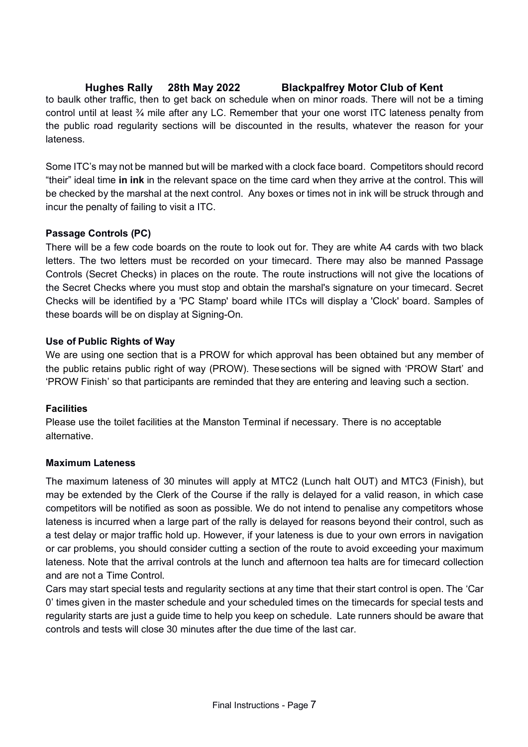to baulk other traffic, then to get back on schedule when on minor roads. There will not be a timing control until at least ¾ mile after any LC. Remember that your one worst ITC lateness penalty from the public road regularity sections will be discounted in the results, whatever the reason for your lateness.

Some ITC's may not be manned but will be marked with a clock face board. Competitors should record "their" ideal time **in ink** in the relevant space on the time card when they arrive at the control. This will be checked by the marshal at the next control. Any boxes or times not in ink will be struck through and incur the penalty of failing to visit a ITC.

# **Passage Controls (PC)**

There will be a few code boards on the route to look out for. They are white A4 cards with two black letters. The two letters must be recorded on your timecard. There may also be manned Passage Controls (Secret Checks) in places on the route. The route instructions will not give the locations of the Secret Checks where you must stop and obtain the marshal's signature on your timecard. Secret Checks will be identified by a 'PC Stamp' board while ITCs will display a 'Clock' board. Samples of these boards will be on display at Signing-On.

# **Use of Public Rights of Way**

We are using one section that is a PROW for which approval has been obtained but any member of the public retains public right of way (PROW). Thesesections will be signed with 'PROW Start' and 'PROW Finish' so that participants are reminded that they are entering and leaving such a section.

# **Facilities**

Please use the toilet facilities at the Manston Terminal if necessary. There is no acceptable alternative.

# **Maximum Lateness**

The maximum lateness of 30 minutes will apply at MTC2 (Lunch halt OUT) and MTC3 (Finish), but may be extended by the Clerk of the Course if the rally is delayed for a valid reason, in which case competitors will be notified as soon as possible. We do not intend to penalise any competitors whose lateness is incurred when a large part of the rally is delayed for reasons beyond their control, such as a test delay or major traffic hold up. However, if your lateness is due to your own errors in navigation or car problems, you should consider cutting a section of the route to avoid exceeding your maximum lateness. Note that the arrival controls at the lunch and afternoon tea halts are for timecard collection and are not a Time Control.

Cars may start special tests and regularity sections at any time that their start control is open. The 'Car 0' times given in the master schedule and your scheduled times on the timecards for special tests and regularity starts are just a guide time to help you keep on schedule. Late runners should be aware that controls and tests will close 30 minutes after the due time of the last car.